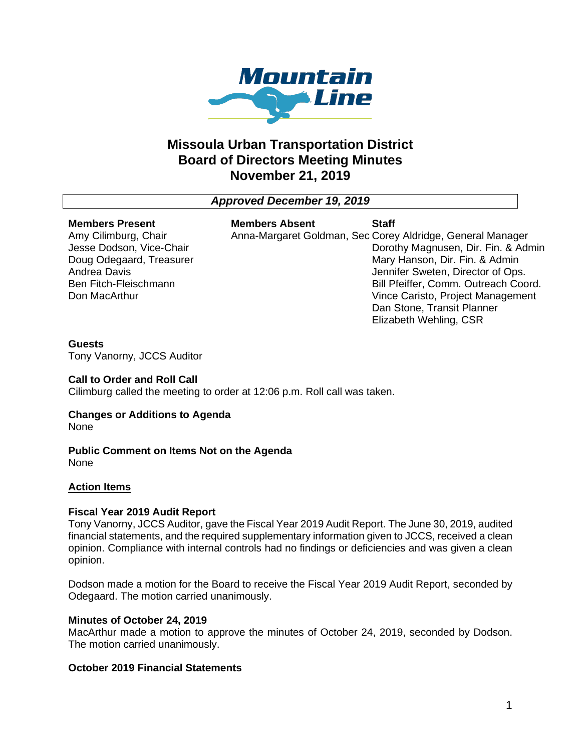

# **Missoula Urban Transportation District Board of Directors Meeting Minutes November 21, 2019**

*Approved December 19, 2019*

#### **Members Present**

Amy Cilimburg, Chair Jesse Dodson, Vice-Chair Doug Odegaard, Treasurer Andrea Davis Ben Fitch-Fleischmann Don MacArthur

#### **Members Absent**

Anna-Margaret Goldman, Sec Corey Aldridge, General Manager **Staff** Dorothy Magnusen, Dir. Fin. & Admin Mary Hanson, Dir. Fin. & Admin Jennifer Sweten, Director of Ops. Bill Pfeiffer, Comm. Outreach Coord. Vince Caristo, Project Management Dan Stone, Transit Planner Elizabeth Wehling, CSR

## **Guests**

Tony Vanorny, JCCS Auditor

## **Call to Order and Roll Call**

Cilimburg called the meeting to order at 12:06 p.m. Roll call was taken.

# **Changes or Additions to Agenda**

None

#### **Public Comment on Items Not on the Agenda** None

## **Action Items**

## **Fiscal Year 2019 Audit Report**

Tony Vanorny, JCCS Auditor, gave the Fiscal Year 2019 Audit Report. The June 30, 2019, audited financial statements, and the required supplementary information given to JCCS, received a clean opinion. Compliance with internal controls had no findings or deficiencies and was given a clean opinion.

Dodson made a motion for the Board to receive the Fiscal Year 2019 Audit Report, seconded by Odegaard. The motion carried unanimously.

## **Minutes of October 24, 2019**

MacArthur made a motion to approve the minutes of October 24, 2019, seconded by Dodson. The motion carried unanimously.

## **October 2019 Financial Statements**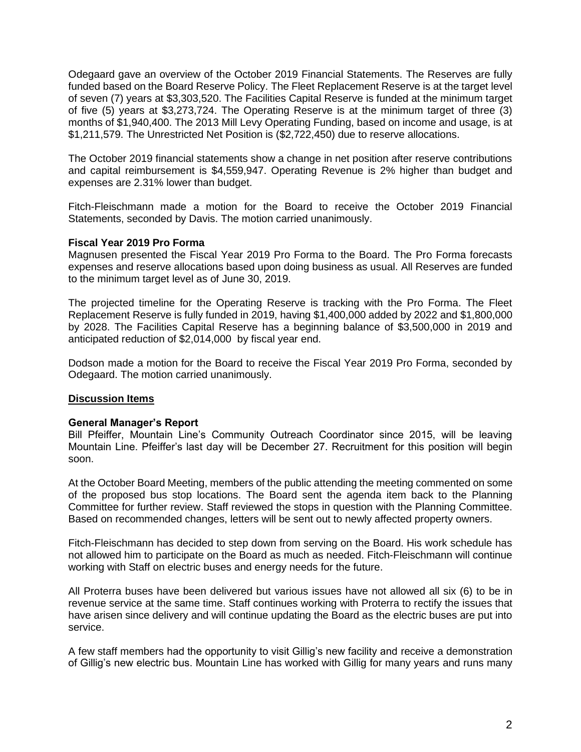Odegaard gave an overview of the October 2019 Financial Statements. The Reserves are fully funded based on the Board Reserve Policy. The Fleet Replacement Reserve is at the target level of seven (7) years at \$3,303,520. The Facilities Capital Reserve is funded at the minimum target of five (5) years at \$3,273,724. The Operating Reserve is at the minimum target of three (3) months of \$1,940,400. The 2013 Mill Levy Operating Funding, based on income and usage, is at \$1,211,579. The Unrestricted Net Position is (\$2,722,450) due to reserve allocations.

The October 2019 financial statements show a change in net position after reserve contributions and capital reimbursement is \$4,559,947. Operating Revenue is 2% higher than budget and expenses are 2.31% lower than budget.

Fitch-Fleischmann made a motion for the Board to receive the October 2019 Financial Statements, seconded by Davis. The motion carried unanimously.

#### **Fiscal Year 2019 Pro Forma**

Magnusen presented the Fiscal Year 2019 Pro Forma to the Board. The Pro Forma forecasts expenses and reserve allocations based upon doing business as usual. All Reserves are funded to the minimum target level as of June 30, 2019.

The projected timeline for the Operating Reserve is tracking with the Pro Forma. The Fleet Replacement Reserve is fully funded in 2019, having \$1,400,000 added by 2022 and \$1,800,000 by 2028. The Facilities Capital Reserve has a beginning balance of \$3,500,000 in 2019 and anticipated reduction of \$2,014,000 by fiscal year end.

Dodson made a motion for the Board to receive the Fiscal Year 2019 Pro Forma, seconded by Odegaard. The motion carried unanimously.

#### **Discussion Items**

#### **General Manager's Report**

Bill Pfeiffer, Mountain Line's Community Outreach Coordinator since 2015, will be leaving Mountain Line. Pfeiffer's last day will be December 27. Recruitment for this position will begin soon.

At the October Board Meeting, members of the public attending the meeting commented on some of the proposed bus stop locations. The Board sent the agenda item back to the Planning Committee for further review. Staff reviewed the stops in question with the Planning Committee. Based on recommended changes, letters will be sent out to newly affected property owners.

Fitch-Fleischmann has decided to step down from serving on the Board. His work schedule has not allowed him to participate on the Board as much as needed. Fitch-Fleischmann will continue working with Staff on electric buses and energy needs for the future.

All Proterra buses have been delivered but various issues have not allowed all six (6) to be in revenue service at the same time. Staff continues working with Proterra to rectify the issues that have arisen since delivery and will continue updating the Board as the electric buses are put into service.

A few staff members had the opportunity to visit Gillig's new facility and receive a demonstration of Gillig's new electric bus. Mountain Line has worked with Gillig for many years and runs many